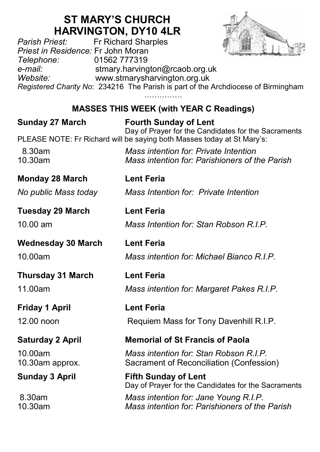# **ST MARY'S CHURCH HARVINGTON, DY10 4LR**<br>Fr Richard Sharples



*Parish Priest:* Fr Richard Sharples *Priest in Residence:* Fr John Moran *Telephone:* 01562 777319 *e-mail:* stmary.harvington@rcaob.org.uk *Website:* www.stmarysharvington.org.uk *Registered Charity No*: 234216 The Parish is part of the Archdiocese of Birmingham ……………

## **MASSES THIS WEEK (with YEAR C Readings)**

| <b>Sunday 27 March</b>     | <b>Fourth Sunday of Lent</b><br>Day of Prayer for the Candidates for the Sacraments     |
|----------------------------|-----------------------------------------------------------------------------------------|
|                            | PLEASE NOTE: Fr Richard will be saying both Masses today at St Mary's:                  |
| 8.30am<br>10.30am          | Mass intention for: Private Intention<br>Mass intention for: Parishioners of the Parish |
| <b>Monday 28 March</b>     | <b>Lent Feria</b>                                                                       |
| No public Mass today       | Mass Intention for: Private Intention                                                   |
| <b>Tuesday 29 March</b>    | <b>Lent Feria</b>                                                                       |
| $10.00 \text{ am}$         | Mass Intention for: Stan Robson R.I.P.                                                  |
| <b>Wednesday 30 March</b>  | <b>Lent Feria</b>                                                                       |
| 10.00am                    | Mass intention for: Michael Bianco R.I.P.                                               |
| <b>Thursday 31 March</b>   | <b>Lent Feria</b>                                                                       |
| 11.00am                    | Mass intention for: Margaret Pakes R.I.P.                                               |
| Friday 1 April             | <b>Lent Feria</b>                                                                       |
| 12.00 noon                 | Requiem Mass for Tony Davenhill R.I.P.                                                  |
| <b>Saturday 2 April</b>    | <b>Memorial of St Francis of Paola</b>                                                  |
| 10.00am<br>10.30am approx. | Mass intention for: Stan Robson R.I.P.<br>Sacrament of Reconciliation (Confession)      |
| <b>Sunday 3 April</b>      | <b>Fifth Sunday of Lent</b><br>Day of Prayer for the Candidates for the Sacraments      |
| 8.30am<br>10.30am          | Mass intention for: Jane Young R.I.P.<br>Mass intention for: Parishioners of the Parish |
|                            |                                                                                         |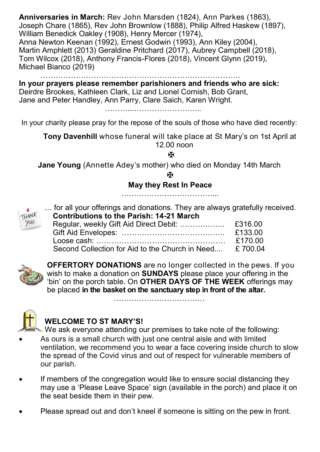**Anniversaries in March:** Rev John Marsden (1824), Ann Parkes (1863), Joseph Chare (1865), Rev John Brownlow (1888), Philip Alfred Haskew (1897), William Benedick Oakley (1908), Henry Mercer (1974), Anna Newton Keenan (1992), Ernest Godwin (1993), Ann Kiley (2004), Martin Amphlett (2013) Geraldine Pritchard (2017), Aubrey Campbell (2018), Tom Wilcox (2018), Anthony Francis-Flores (2018), Vincent Glynn (2019), Michael Bianco (2019)

…………………………………………………………………….

**In your prayers please remember parishioners and friends who are sick:**  Deirdre Brookes, Kathleen Clark, Liz and Lionel Cornish, Bob Grant, Jane and Peter Handley, Ann Parry, Clare Saich, Karen Wright.

………………………………………

In your charity please pray for the repose of the souls of those who have died recently:

**Tony Davenhill** whose funeral will take place at St Mary's on 1st April at 12.00 noon

¥.

**Jane Young** (Annette Adey's mother) who died on Monday 14th March

 $\mathbf F$ 

#### **May they Rest In Peace**

………………………………...



… for all your offerings and donations. They are always gratefully received.  **Contributions to the Parish: 14-21 March**

| $\gamma_{\infty}$ |                                                         |         |
|-------------------|---------------------------------------------------------|---------|
|                   |                                                         | £133.00 |
|                   |                                                         | £170.00 |
|                   | Second Collection for Aid to the Church in Need £700.04 |         |



**OFFERTORY DONATIONS** are no longer collected in the pews. If you wish to make a donation on **SUNDAYS** please place your offering in the 'bin' on the porch table. On **OTHER DAYS OF THE WEEK** offerings may be placed **in the basket on the sanctuary step in front of the altar.** 

………………………………



## **WELCOME TO ST MARY'S!**

We ask everyone attending our premises to take note of the following:

- As ours is a small church with just one central aisle and with limited ventilation, we recommend you to wear a face covering inside church to slow the spread of the Covid virus and out of respect for vulnerable members of our parish.
- If members of the congregation would like to ensure social distancing they may use a 'Please Leave Space' sign (available in the porch) and place it on the seat beside them in their pew.
- Please spread out and don't kneel if someone is sitting on the pew in front.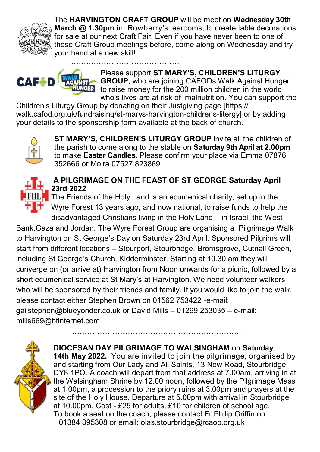

The **HARVINGTON CRAFT GROUP** will be meet on **Wednesday 30th March @ 1.30pm** in Rowberry's tearooms, to create table decorations for sale at our next Craft Fair. Even if you have never been to one of these Craft Group meetings before, come along on Wednesday and try your hand at a new skill! ……….……………………………



Please support **ST MARY'S, CHILDREN'S LITURGY GROUP**, who are joining CAFODs Walk Against Hunger to raise money for the 200 million children in the world who's lives are at risk of malnutrition. You can support the

Children's Liturgy Group by donating on their Justgiving page [https:// walk.cafod.org.uk/fundraising/st-marys-harvington-childrens-litergy] or by adding your details to the sponsorship form available at the back of church.



**ST MARY'S, CHILDREN'S LITURGY GROUP** invite all the children of the parish to come along to the stable on **Saturday 9th April at 2.00pm**  to make **Easter Candles.** Please confirm your place via Emma 07876 352666 or Moira 07527 823869



………………………………………………. **A PILGRIMAGE ON THE FEAST OF ST GEORGE Saturday April 23rd 2022**

The Friends of the Holy Land is an ecumenical charity, set up in the Wyre Forest 13 years ago, and now national, to raise funds to help the disadvantaged Christians living in the Holy Land – in Israel, the West

Bank,Gaza and Jordan. The Wyre Forest Group are organising a Pilgrimage Walk to Harvington on St George's Day on Saturday 23rd April. Sponsored Pilgrims will start from different locations – Stourport, Stourbridge, Bromsgrove, Cutnall Green, including St George's Church, Kidderminster. Starting at 10.30 am they will converge on (or arrive at) Harvington from Noon onwards for a picnic, followed by a short ecumenical service at St Mary's at Harvington. We need volunteer walkers who will be sponsored by their friends and family. If you would like to join the walk, please contact either Stephen Brown on 01562 753422 -e-mail: gailstephen@blueyonder.co.uk or David Mills – 01299 253035 – e-mail: mills669@btinternet.com

………………………………………………………….



**DIOCESAN DAY PILGRIMAGE TO WALSINGHAM** on **Saturday 14th May 2022.** You are invited to join the pilgrimage, organised by and starting from Our Lady and All Saints, 13 New Road, Stourbridge, DY8 1PQ. A coach will depart from that address at 7.00am, arriving in at

the Walsingham Shrine by 12.00 noon, followed by the Pilgrimage Mass at 1.00pm, a procession to the priory ruins at 3.00pm and prayers at the site of the Holy House. Departure at 5.00pm with arrival in Stourbridge at 10.00pm. Cost - £25 for adults, £10 for children of school age. To book a seat on the coach, please contact Fr Philip Griffin on 01384 395308 or email: olas.stourbridge@rcaob.org.uk